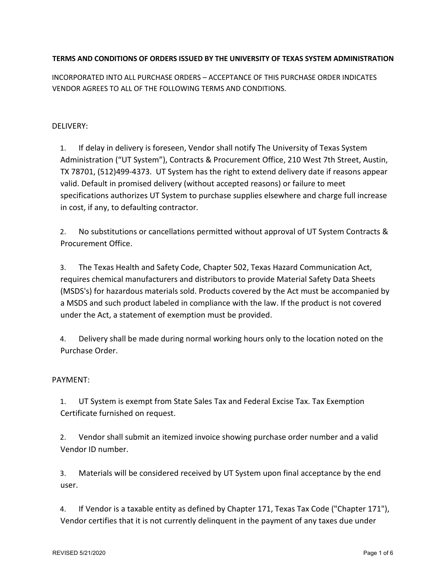# **TERMS AND CONDITIONS OF ORDERS ISSUED BY THE UNIVERSITY OF TEXAS SYSTEM ADMINISTRATION**

INCORPORA[TED INTO](http://www.utexas.edu/admin/purchasing/docs/pdf/order_terms2.pdf) [ALL PURCHASE ORDERS –](http://www.utexas.edu/admin/purchasing/docs/pdf/order_terms3.pdf) [ACCEPTANCE](http://www.utexas.edu/admin/purchasing/docs/pdf/order_terms3.pdf) OF THIS PURCHASE ORDER INDICATES VENDOR AGREES TO ALL OF THE FOLLOWING TERMS AND CONDITIONS.

# DELIVERY:

1. If delay in delivery is foreseen, Vendor shall notify The University of Texas System Administration ("UT System"), Contracts & Procurement Office, 210 West 7th Street, Austin, TX 78701, (512)499-4373. UT System has the right to extend delivery date if reasons appear valid. Default in promised delivery (without accepted reasons) or failure to meet specifications authorizes UT System to purchase supplies elsewhere and charge full increase in cost, if any, to defaulting contractor.

2. No substitutions or cancellations permitted without approval of UT System Contracts & Procurement Office.

3. The Texas Health and Safety Code, Chapter 502, Texas Hazard Communication Act, requires chemical manufacturers and distributors to provide Material Safety Data Sheets (MSDS's) for hazardous materials sold. Products covered by the Act must be accompanied by a MSDS and such product labeled in compliance with the law. If the product is not covered under the Act, a statement of exemption must be provided.

4. Delivery shall be made during normal working hours only to the location noted on the Purchase Order.

## PAYMENT:

1. UT System is exempt from State Sales Tax and Federal Excise Tax. Tax Exemption Certificate furnished on request.

2. Vendor shall submit an itemized invoice showing purchase order number and a valid Vendor ID number.

3. Materials will be considered received by UT System upon final acceptance by the end user.

4. If Vendor is a taxable entity as defined by Chapter 171, Texas Tax Code ("Chapter 171"), Vendor certifies that it is not currently delinquent in the payment of any taxes due under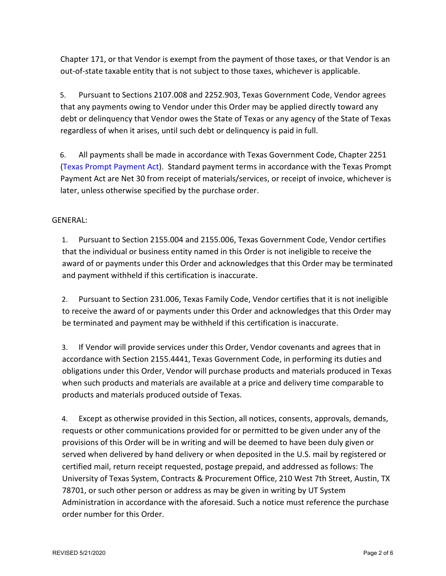Chapter 171, or that Vendor is exempt from the payment of those taxes, or that Vendor is an out-of-state taxable entity that is not subject to those taxes, whichever is applicable.

5. Pursuant to Sections 2107.008 and 2252.903, Texas Government Code, Vendor agrees that any payments owing to Vendor under this Order may be applied directly toward any debt or delinquency that Vendor owes the State of Texas or any agency of the State of Texas regardless of when it arises, until such debt or delinquency is paid in full.

6. All payments shall be made in accordance with Texas Government Code, Chapter 2251 (Texas [Prompt Payment Act](https://statutes.capitol.texas.gov/Docs/GV/htm/GV.2251.htm)). Standard payment terms in accordance with the Texas Prompt Payment Act are Net 30 from receipt of materials/services, or receipt of invoice, whichever is later, unless otherwise specified by the purchase order.

## GENERAL:

1. Pursuant to Section 2155.004 and 2155.006, Texas Government Code, Vendor certifies that the individual or business entity named in this Order is not ineligible to receive the award of or payments under this Order and acknowledges that this Order may be terminated and payment withheld if this certification is inaccurate.

2. Pursuant to Section 231.006, Texas Family Code, Vendor certifies that it is not ineligible to receive the award of or payments under this Order and acknowledges that this Order may be terminated and payment may be withheld if this certification is inaccurate.

3. If Vendor will provide services under this Order, Vendor covenants and agrees that in accordance with Section 2155.4441, Texas Government Code, in performing its duties and obligations under this Order, Vendor will purchase products and materials produced in Texas when such products and materials are available at a price and delivery time comparable to products and materials produced outside of Texas.

4. Except as otherwise provided in this Section, all notices, consents, approvals, demands, requests or other communications provided for or permitted to be given under any of the provisions of this Order will be in writing and will be deemed to have been duly given or served when delivered by hand delivery or when deposited in the U.S. mail by registered or certified mail, return receipt requested, postage prepaid, and addressed as follows: The University of Texas System, Contracts & Procurement Office, 210 West 7th Street, Austin, TX 78701, or such other person or address as may be given in writing by UT System Administration in accordance with the aforesaid. Such a notice must reference the purchase order number for this Order.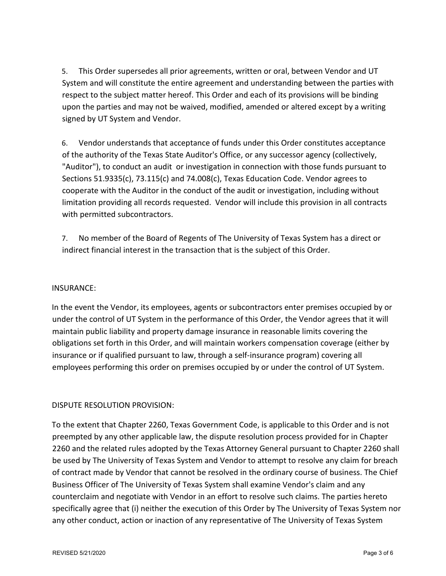5. This Order supersedes all prior agreements, written or oral, between Vendor and UT System and will constitute the entire agreement and understanding between the parties with respect to the subject matter hereof. This Order and each of its provisions will be binding upon the parties and may not be waived, modified, amended or altered except by a writing signed by UT System and Vendor.

6. Vendor understands that acceptance of funds under this Order constitutes acceptance of the authority of the Texas State Auditor's Office, or any successor agency (collectively, "Auditor"), to conduct an audit or investigation in connection with those funds pursuant to Sections 51.9335(c), 73.115(c) and 74.008(c), Texas Education Code. Vendor agrees to cooperate with the Auditor in the conduct of the audit or investigation, including without limitation providing all records requested. Vendor will include this provision in all contracts with permitted subcontractors.

7. No member of the Board of Regents of The University of Texas System has a direct or indirect financial interest in the transaction that is the subject of this Order.

#### INSURANCE:

In the event the Vendor, its employees, agents or subcontractors enter premises occupied by or under the control of UT System in the performance of this Order, the Vendor agrees that it will maintain public liability and property damage insurance in reasonable limits covering the obligations set forth in this Order, and will maintain workers compensation coverage (either by insurance or if qualified pursuant to law, through a self-insurance program) covering all employees performing this order on premises occupied by or under the control of UT System.

## DISPUTE RESOLUTION PROVISION:

To the extent that Chapter 2260, Texas Government Code, is applicable to this Order and is not preempted by any other applicable law, the dispute resolution process provided for in Chapter 2260 and the related rules adopted by the Texas Attorney General pursuant to Chapter 2260 shall be used by The University of Texas System and Vendor to attempt to resolve any claim for breach of contract made by Vendor that cannot be resolved in the ordinary course of business. The Chief Business Officer of The University of Texas System shall examine Vendor's claim and any counterclaim and negotiate with Vendor in an effort to resolve such claims. The parties hereto specifically agree that (i) neither the execution of this Order by The University of Texas System nor any other conduct, action or inaction of any representative of The University of Texas System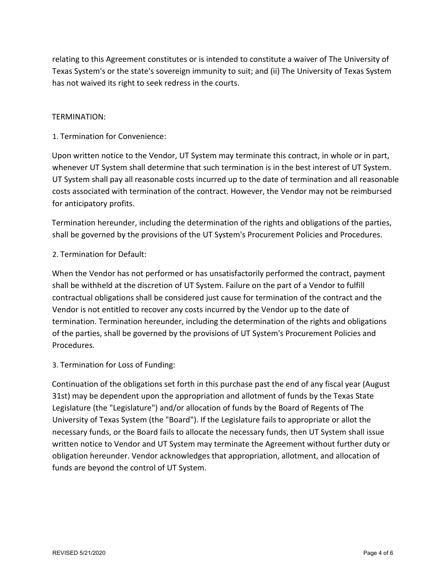relating to this Agreement constitutes or is intended to constitute a waiver of The University of Texas System's or the state's sovereign immunity to suit; and (ii) The University of Texas System has not waived its right to seek redress in the courts.

#### TERMINATION:

1. Termination for Convenience:

Upon written notice to the Vendor, UT System may terminate this contract, in whole or in part, whenever UT System shall determine that such termination is in the best interest of UT System. UT System shall pay all reasonable costs incurred up to the date of termination and all reasonable costs associated with termination of the contract. However, the Vendor may not be reimbursed for anticipatory profits.

Termination hereunder, including the determination of the rights and obligations of the parties, shall be governed by the provisions of the UT System's Procurement Policies and Procedures.

## 2. Termination for Default:

When the Vendor has not performed or has unsatisfactorily performed the contract, payment shall be withheld at the discretion of UT System. Failure on the part of a Vendor to fulfill contractual obligations shall be considered just cause for termination of the contract and the Vendor is not entitled to recover any costs incurred by the Vendor up to the date of termination. Termination hereunder, including the determination of the rights and obligations of the parties, shall be governed by the provisions of UT System's Procurement Policies and Procedures.

#### 3. Termination for Loss of Funding:

Continuation of the obligations set forth in this purchase past the end of any fiscal year (August 31st) may be dependent upon the appropriation and allotment of funds by the Texas State Legislature (the "Legislature") and/or allocation of funds by the Board of Regents of The University of Texas System (the "Board"). If the Legislature fails to appropriate or allot the necessary funds, or the Board fails to allocate the necessary funds, then UT System shall issue written notice to Vendor and UT System may terminate the Agreement without further duty or obligation hereunder. Vendor acknowledges that appropriation, allotment, and allocation of funds are beyond the control of UT System.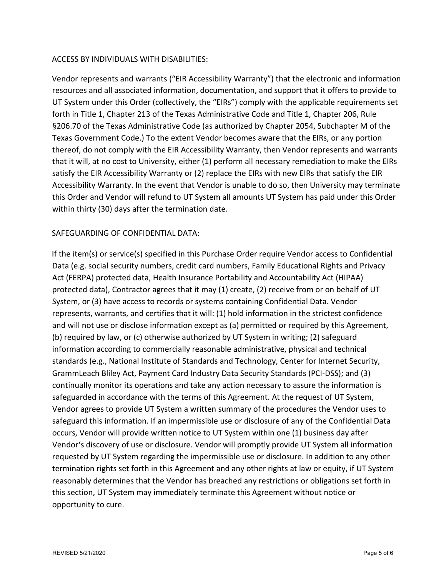## ACCESS BY INDIVIDUALS WITH DISABILITIES:

Vendor represents and warrants ("EIR Accessibility Warranty") that the electronic and information resources and all associated information, documentation, and support that it offers to provide to UT System under this Order (collectively, the "EIRs") comply with the applicable requirements set forth in Title 1, Chapter 213 of the Texas Administrative Code and Title 1, Chapter 206, Rule §206.70 of the Texas Administrative Code (as authorized by Chapter 2054, Subchapter M of the Texas Government Code.) To the extent Vendor becomes aware that the EIRs, or any portion thereof, do not comply with the EIR Accessibility Warranty, then Vendor represents and warrants that it will, at no cost to University, either (1) perform all necessary remediation to make the EIRs satisfy the EIR Accessibility Warranty or (2) replace the EIRs with new EIRs that satisfy the EIR Accessibility Warranty. In the event that Vendor is unable to do so, then University may terminate this Order and Vendor will refund to UT System all amounts UT System has paid under this Order within thirty (30) days after the termination date.

#### SAFEGUARDING OF CONFIDENTIAL DATA:

If the item(s) or service(s) specified in this Purchase Order require Vendor access to Confidential Data (e.g. social security numbers, credit card numbers, Family Educational Rights and Privacy Act (FERPA) protected data, Health Insurance Portability and Accountability Act (HIPAA) protected data), Contractor agrees that it may (1) create, (2) receive from or on behalf of UT System, or (3) have access to records or systems containing Confidential Data. Vendor represents, warrants, and certifies that it will: (1) hold information in the strictest confidence and will not use or disclose information except as (a) permitted or required by this Agreement, (b) required by law, or (c) otherwise authorized by UT System in writing; (2) safeguard information according to commercially reasonable administrative, physical and technical standards (e.g., National Institute of Standards and Technology, Center for Internet Security, GrammLeach Bliley Act, Payment Card Industry Data Security Standards (PCI-DSS); and (3) continually monitor its operations and take any action necessary to assure the information is safeguarded in accordance with the terms of this Agreement. At the request of UT System, Vendor agrees to provide UT System a written summary of the procedures the Vendor uses to safeguard this information. If an impermissible use or disclosure of any of the Confidential Data occurs, Vendor will provide written notice to UT System within one (1) business day after Vendor's discovery of use or disclosure. Vendor will promptly provide UT System all information requested by UT System regarding the impermissible use or disclosure. In addition to any other termination rights set forth in this Agreement and any other rights at law or equity, if UT System reasonably determines that the Vendor has breached any restrictions or obligations set forth in this section, UT System may immediately terminate this Agreement without notice or opportunity to cure.